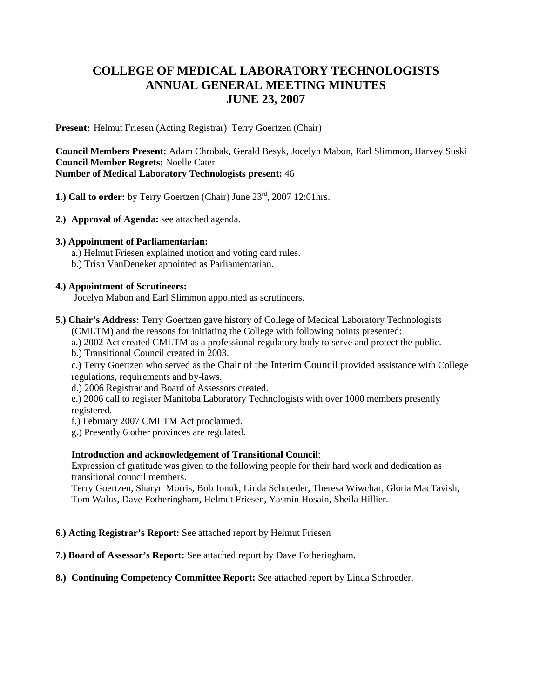# **COLLEGE OF MEDICAL LABORATORY TECHNOLOGISTS ANNUAL GENERAL MEETING MINUTES JUNE 23, 2007**

**Present:** Helmut Friesen (Acting Registrar) Terry Goertzen (Chair)

**Council Members Present:** Adam Chrobak, Gerald Besyk, Jocelyn Mabon, Earl Slimmon, Harvey Suski **Council Member Regrets:** Noelle Cater **Number of Medical Laboratory Technologists present:** 46

**1.) Call to order:** by Terry Goertzen (Chair) June 23<sup>rd</sup>, 2007 12:01hrs.

**2.) Approval of Agenda:** see attached agenda.

## **3.) Appointment of Parliamentarian:**

- a.) Helmut Friesen explained motion and voting card rules.
- b.) Trish VanDeneker appointed as Parliamentarian.

## **4.) Appointment of Scrutineers:**

Jocelyn Mabon and Earl Slimmon appointed as scrutineers.

- **5.) Chair's Address:** Terry Goertzen gave history of College of Medical Laboratory Technologists
	- (CMLTM) and the reasons for initiating the College with following points presented:
	- a.) 2002 Act created CMLTM as a professional regulatory body to serve and protect the public.
	- b.) Transitional Council created in 2003.

c.) Terry Goertzen who served as the Chair of the Interim Council provided assistance with College regulations, requirements and by-laws.

d.) 2006 Registrar and Board of Assessors created.

e.) 2006 call to register Manitoba Laboratory Technologists with over 1000 members presently registered.

- f.) February 2007 CMLTM Act proclaimed.
- g.) Presently 6 other provinces are regulated.

# **Introduction and acknowledgement of Transitional Council**:

Expression of gratitude was given to the following people for their hard work and dedication as transitional council members.

Terry Goertzen, Sharyn Morris, Bob Jonuk, Linda Schroeder, Theresa Wiwchar, Gloria MacTavish, Tom Walus, Dave Fotheringham, Helmut Friesen, Yasmin Hosain, Sheila Hillier.

## **6.) Acting Registrar's Report:** See attached report by Helmut Friesen

- **7.) Board of Assessor's Report:** See attached report by Dave Fotheringham.
- **8.) Continuing Competency Committee Report:** See attached report by Linda Schroeder.